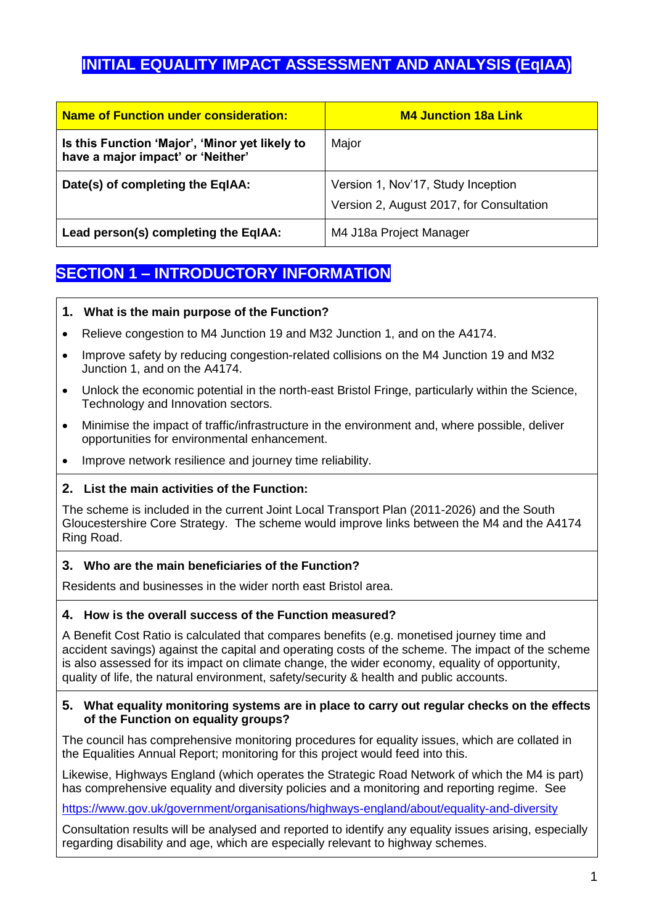# **INITIAL EQUALITY IMPACT ASSESSMENT AND ANALYSIS (EqIAA)**

| <b>Name of Function under consideration:</b>                                        | <b>M4 Junction 18a Link</b>                                                    |
|-------------------------------------------------------------------------------------|--------------------------------------------------------------------------------|
| Is this Function 'Major', 'Minor yet likely to<br>have a major impact' or 'Neither' | Major                                                                          |
| Date(s) of completing the EqIAA:                                                    | Version 1, Nov'17, Study Inception<br>Version 2, August 2017, for Consultation |
| Lead person(s) completing the EqIAA:                                                | M4 J18a Project Manager                                                        |

# **SECTION 1 – INTRODUCTORY INFORMATION**

#### **1. What is the main purpose of the Function?**

- Relieve congestion to M4 Junction 19 and M32 Junction 1, and on the A4174.
- Improve safety by reducing congestion-related collisions on the M4 Junction 19 and M32 Junction 1, and on the A4174.
- Unlock the economic potential in the north-east Bristol Fringe, particularly within the Science, Technology and Innovation sectors.
- Minimise the impact of traffic/infrastructure in the environment and, where possible, deliver opportunities for environmental enhancement.
- Improve network resilience and journey time reliability.

#### **2. List the main activities of the Function:**

The scheme is included in the current Joint Local Transport Plan (2011-2026) and the South Gloucestershire Core Strategy. The scheme would improve links between the M4 and the A4174 Ring Road.

#### **3. Who are the main beneficiaries of the Function?**

Residents and businesses in the wider north east Bristol area.

#### **4. How is the overall success of the Function measured?**

A Benefit Cost Ratio is calculated that compares benefits (e.g. monetised journey time and accident savings) against the capital and operating costs of the scheme. The impact of the scheme is also assessed for its impact on climate change, the wider economy, equality of opportunity, quality of life, the natural environment, safety/security & health and public accounts.

#### **5. What equality monitoring systems are in place to carry out regular checks on the effects of the Function on equality groups?**

The council has comprehensive monitoring procedures for equality issues, which are collated in the Equalities Annual Report; monitoring for this project would feed into this.

Likewise, Highways England (which operates the Strategic Road Network of which the M4 is part) has comprehensive equality and diversity policies and a monitoring and reporting regime. See

<https://www.gov.uk/government/organisations/highways-england/about/equality-and-diversity>

Consultation results will be analysed and reported to identify any equality issues arising, especially regarding disability and age, which are especially relevant to highway schemes.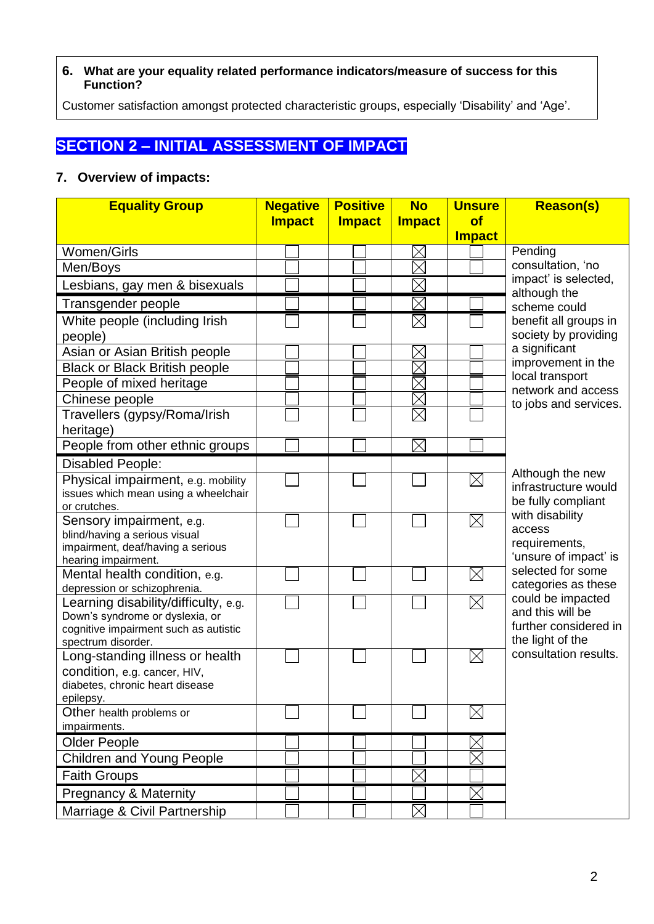#### **6. What are your equality related performance indicators/measure of success for this Function?**

Customer satisfaction amongst protected characteristic groups, especially 'Disability' and 'Age'.

# **SECTION 2 – INITIAL ASSESSMENT OF IMPACT**

### **7. Overview of impacts:**

| <b>Equality Group</b>                                                                                                                  | <b>Negative</b> | <b>Positive</b> | <b>No</b>     | <b>Unsure</b> | <b>Reason(s)</b>                                                                   |
|----------------------------------------------------------------------------------------------------------------------------------------|-----------------|-----------------|---------------|---------------|------------------------------------------------------------------------------------|
|                                                                                                                                        | <b>Impact</b>   | <b>Impact</b>   | <b>Impact</b> | of            |                                                                                    |
|                                                                                                                                        |                 |                 |               | <b>Impact</b> |                                                                                    |
| Women/Girls                                                                                                                            |                 |                 | $\times$      |               | Pending                                                                            |
| Men/Boys                                                                                                                               |                 |                 | $\times$      |               | consultation, 'no<br>impact' is selected,                                          |
| Lesbians, gay men & bisexuals                                                                                                          |                 |                 |               |               | although the                                                                       |
| Transgender people                                                                                                                     |                 |                 | $\times$      |               | scheme could                                                                       |
| White people (including Irish<br>people)                                                                                               |                 |                 | $\boxtimes$   |               | benefit all groups in<br>society by providing                                      |
| Asian or Asian British people                                                                                                          |                 |                 | $\times$      |               | a significant                                                                      |
| <b>Black or Black British people</b>                                                                                                   |                 |                 | $\times$      |               | improvement in the                                                                 |
| People of mixed heritage                                                                                                               |                 |                 |               |               | local transport<br>network and access                                              |
| Chinese people                                                                                                                         |                 |                 | $\times$      |               | to jobs and services.                                                              |
| Travellers (gypsy/Roma/Irish<br>heritage)                                                                                              |                 |                 | $\times$      |               |                                                                                    |
| People from other ethnic groups                                                                                                        |                 |                 | $\boxtimes$   |               |                                                                                    |
| <b>Disabled People:</b>                                                                                                                |                 |                 |               |               |                                                                                    |
| Physical impairment, e.g. mobility<br>issues which mean using a wheelchair<br>or crutches.                                             |                 |                 |               | $\boxtimes$   | Although the new<br>infrastructure would<br>be fully compliant                     |
| Sensory impairment, e.g.<br>blind/having a serious visual<br>impairment, deaf/having a serious<br>hearing impairment.                  |                 |                 |               | $\times$      | with disability<br>access<br>requirements,<br>'unsure of impact' is                |
| Mental health condition, e.g.<br>depression or schizophrenia.                                                                          |                 |                 |               | $\boxtimes$   | selected for some<br>categories as these                                           |
| Learning disability/difficulty, e.g.<br>Down's syndrome or dyslexia, or<br>cognitive impairment such as autistic<br>spectrum disorder. |                 |                 |               | $\times$      | could be impacted<br>and this will be<br>further considered in<br>the light of the |
| Long-standing illness or health<br>condition, e.g. cancer, HIV,<br>diabetes, chronic heart disease<br>epilepsy.                        |                 |                 |               | $\times$      | consultation results.                                                              |
| Other health problems or<br>impairments.                                                                                               |                 |                 |               | $\times$      |                                                                                    |
| <b>Older People</b>                                                                                                                    |                 |                 |               | $\times$      |                                                                                    |
| <b>Children and Young People</b>                                                                                                       |                 |                 |               |               |                                                                                    |
| <b>Faith Groups</b>                                                                                                                    |                 |                 | $\times$      |               |                                                                                    |
| <b>Pregnancy &amp; Maternity</b>                                                                                                       |                 |                 |               |               |                                                                                    |
| Marriage & Civil Partnership                                                                                                           |                 |                 | $\times$      |               |                                                                                    |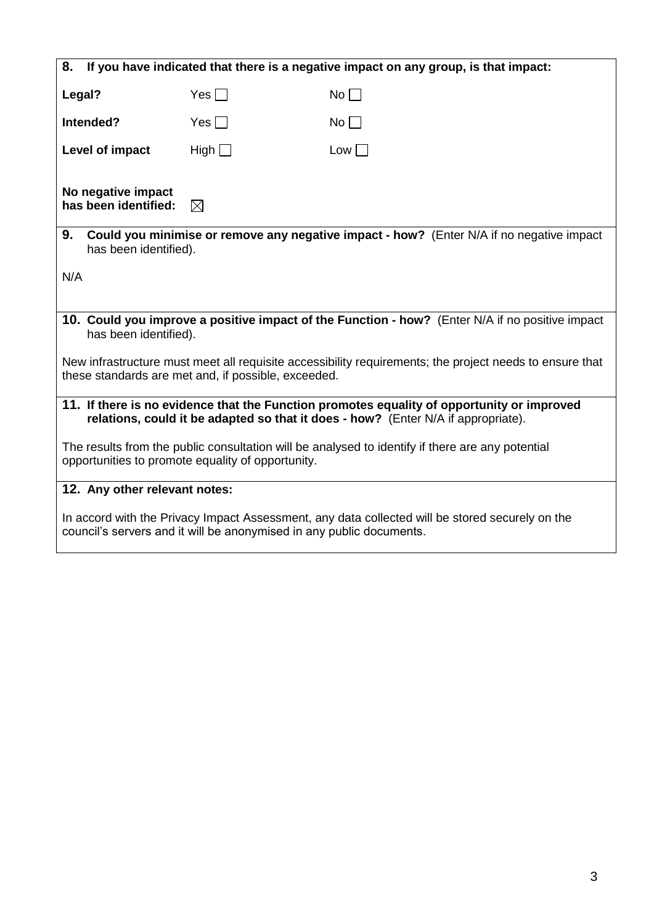| 8.<br>If you have indicated that there is a negative impact on any group, is that impact:                                                                                       |             |           |
|---------------------------------------------------------------------------------------------------------------------------------------------------------------------------------|-------------|-----------|
| Legal?                                                                                                                                                                          | Yes $\Box$  | $No \Box$ |
| Intended?                                                                                                                                                                       | Yes $\Box$  | $No \Box$ |
| Level of impact                                                                                                                                                                 | High $\Box$ | Low       |
| No negative impact<br>has been identified:                                                                                                                                      | $\boxtimes$ |           |
| 9.<br><b>Could you minimise or remove any negative impact - how?</b> (Enter N/A if no negative impact<br>has been identified).                                                  |             |           |
| N/A                                                                                                                                                                             |             |           |
| 10. Could you improve a positive impact of the Function - how? (Enter N/A if no positive impact<br>has been identified).                                                        |             |           |
| New infrastructure must meet all requisite accessibility requirements; the project needs to ensure that<br>these standards are met and, if possible, exceeded.                  |             |           |
| 11. If there is no evidence that the Function promotes equality of opportunity or improved<br>relations, could it be adapted so that it does - how? (Enter N/A if appropriate). |             |           |
| The results from the public consultation will be analysed to identify if there are any potential<br>opportunities to promote equality of opportunity.                           |             |           |
| 12. Any other relevant notes:                                                                                                                                                   |             |           |
| In accord with the Privacy Impact Assessment, any data collected will be stored securely on the<br>council's servers and it will be anonymised in any public documents.         |             |           |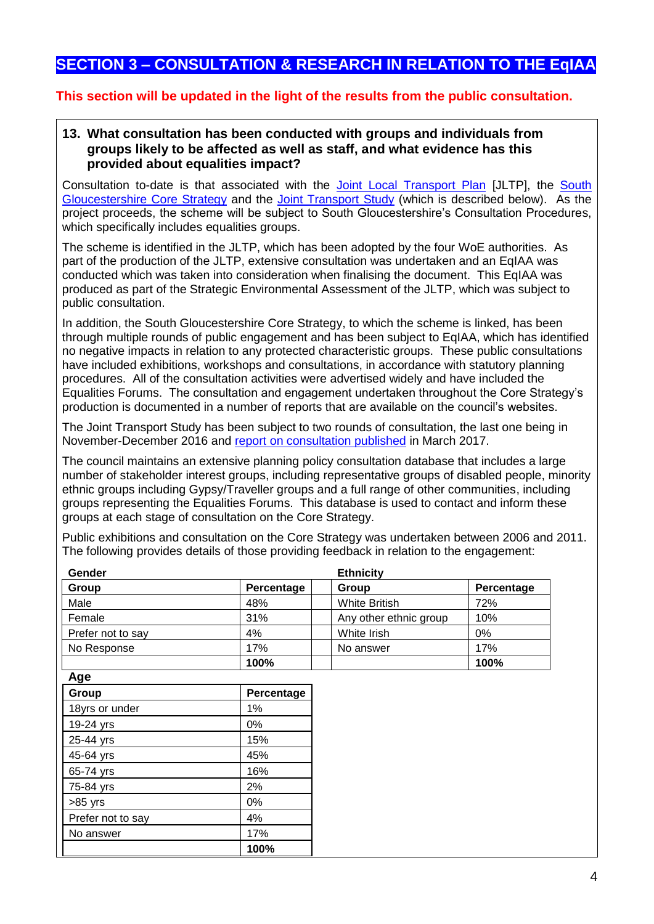## **SECTION 3 – CONSULTATION & RESEARCH IN RELATION TO THE EqIAA**

#### **This section will be updated in the light of the results from the public consultation.**

#### **13. What consultation has been conducted with groups and individuals from groups likely to be affected as well as staff, and what evidence has this provided about equalities impact?**

Consultation to-date is that associated with the [Joint Local Transport Plan](https://travelwest.info/projects/joint-local-transport-plan) [JLTP], the South [Gloucestershire Core Strategy](http://www.southglos.gov.uk/environment-and-planning/planning/planning-local-plans/core-strategy-2006-2027/) and the [Joint Transport Study](https://www.jointplanningwofe.org.uk/consult.ti/JTSTransportVision) (which is described below). As the project proceeds, the scheme will be subject to South Gloucestershire's Consultation Procedures, which specifically includes equalities groups.

The scheme is identified in the JLTP, which has been adopted by the four WoE authorities. As part of the production of the JLTP, extensive consultation was undertaken and an EqIAA was conducted which was taken into consideration when finalising the document. This EqIAA was produced as part of the Strategic Environmental Assessment of the JLTP, which was subject to public consultation.

In addition, the South Gloucestershire Core Strategy, to which the scheme is linked, has been through multiple rounds of public engagement and has been subject to EqIAA, which has identified no negative impacts in relation to any protected characteristic groups. These public consultations have included exhibitions, workshops and consultations, in accordance with statutory planning procedures. All of the consultation activities were advertised widely and have included the Equalities Forums. The consultation and engagement undertaken throughout the Core Strategy's production is documented in a number of reports that are available on the council's websites.

The Joint Transport Study has been subject to two rounds of consultation, the last one being in November-December 2016 and [report on consultation published](https://www.jointplanningwofe.org.uk/gf2.ti/-/756738/25692261.1/PDF/-/Joint_Spatial_Plan_and_Transport_Study_Consultation_Report.pdf) in March 2017.

The council maintains an extensive planning policy consultation database that includes a large number of stakeholder interest groups, including representative groups of disabled people, minority ethnic groups including Gypsy/Traveller groups and a full range of other communities, including groups representing the Equalities Forums. This database is used to contact and inform these groups at each stage of consultation on the Core Strategy.

Public exhibitions and consultation on the Core Strategy was undertaken between 2006 and 2011. The following provides details of those providing feedback in relation to the engagement:

| Gender            |            | <b>Ethnicity</b>       |            |
|-------------------|------------|------------------------|------------|
| Group             | Percentage | Group                  | Percentage |
| Male              | 48%        | <b>White British</b>   | 72%        |
| Female            | 31%        | Any other ethnic group | 10%        |
| Prefer not to say | 4%         | White Irish            | 0%         |
| No Response       | 17%        | No answer              | 17%        |
|                   | 100%       |                        | 100%       |
| Age               |            |                        |            |
| Group             | Percentage |                        |            |
| 18yrs or under    | 1%         |                        |            |
|                   |            |                        |            |

| 91 vu p           | ı vıvvınuyv |
|-------------------|-------------|
| 18yrs or under    | 1%          |
| 19-24 yrs         | 0%          |
| 25-44 yrs         | 15%         |
| 45-64 yrs         | 45%         |
| 65-74 yrs         | 16%         |
| 75-84 yrs         | 2%          |
| $>85$ yrs         | 0%          |
| Prefer not to say | 4%          |
| No answer         | 17%         |
|                   | 100%        |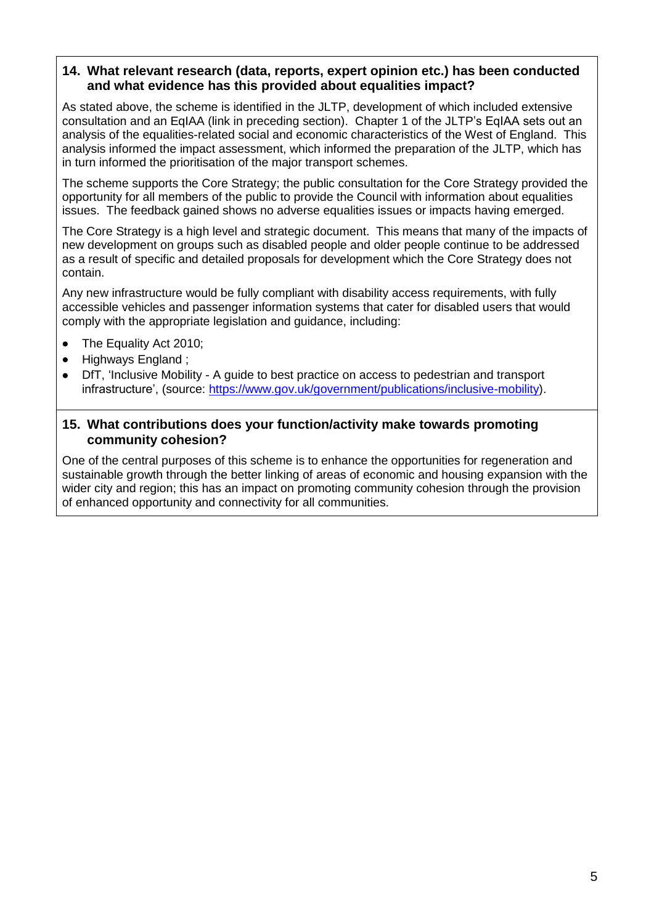### **14. What relevant research (data, reports, expert opinion etc.) has been conducted and what evidence has this provided about equalities impact?**

As stated above, the scheme is identified in the JLTP, development of which included extensive consultation and an EqIAA (link in preceding section). Chapter 1 of the JLTP's EqIAA sets out an analysis of the equalities-related social and economic characteristics of the West of England. This analysis informed the impact assessment, which informed the preparation of the JLTP, which has in turn informed the prioritisation of the major transport schemes.

The scheme supports the Core Strategy; the public consultation for the Core Strategy provided the opportunity for all members of the public to provide the Council with information about equalities issues. The feedback gained shows no adverse equalities issues or impacts having emerged.

The Core Strategy is a high level and strategic document. This means that many of the impacts of new development on groups such as disabled people and older people continue to be addressed as a result of specific and detailed proposals for development which the Core Strategy does not contain.

Any new infrastructure would be fully compliant with disability access requirements, with fully accessible vehicles and passenger information systems that cater for disabled users that would comply with the appropriate legislation and guidance, including:

- [The](http://www.opsi.gov.uk/acts/acts2005/ukpga_20050013_en_1) Equality Act 2010;
- Highways England ;
- DfT, 'Inclusive Mobility A guide to best practice on access to pedestrian and transport infrastructure', (source: [https://www.gov.uk/government/publications/inclusive-mobility\)](https://www.gov.uk/government/publications/inclusive-mobility).

#### **15. What contributions does your function/activity make towards promoting community cohesion?**

One of the central purposes of this scheme is to enhance the opportunities for regeneration and sustainable growth through the better linking of areas of economic and housing expansion with the wider city and region; this has an impact on promoting community cohesion through the provision of enhanced opportunity and connectivity for all communities.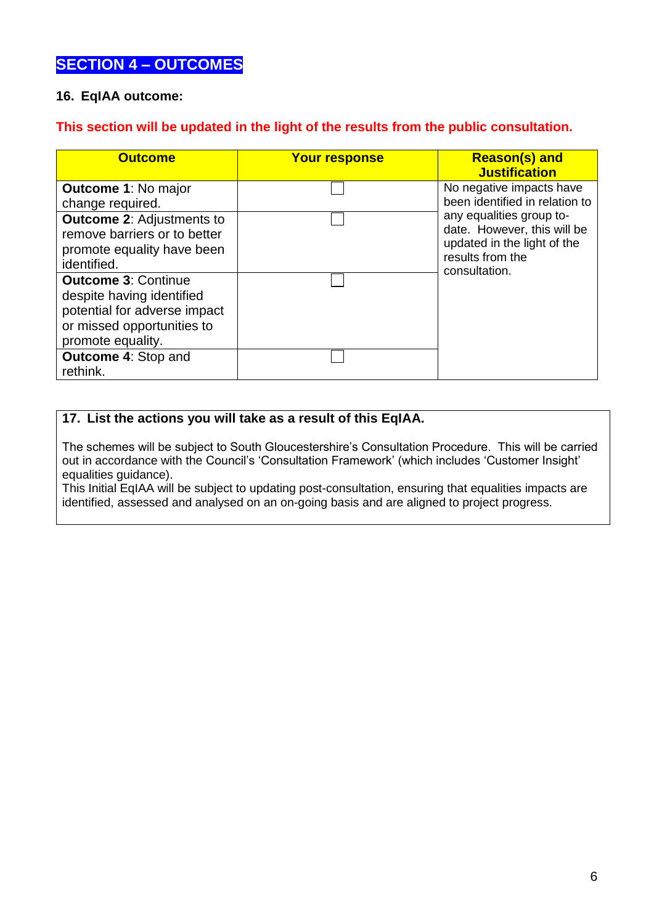### **SECTION 4 – OUTCOMES**

### **16. EqIAA outcome:**

#### **This section will be updated in the light of the results from the public consultation.**

| <b>Outcome</b>                                                                                                                             | <b>Your response</b> | <b>Reason(s) and</b><br><b>Justification</b>                                                                                                                                              |
|--------------------------------------------------------------------------------------------------------------------------------------------|----------------------|-------------------------------------------------------------------------------------------------------------------------------------------------------------------------------------------|
| <b>Outcome 1: No major</b><br>change required.<br><b>Outcome 2: Adjustments to</b>                                                         |                      | No negative impacts have<br>been identified in relation to<br>any equalities group to-<br>date. However, this will be<br>updated in the light of the<br>results from the<br>consultation. |
| remove barriers or to better<br>promote equality have been<br>identified.                                                                  |                      |                                                                                                                                                                                           |
| <b>Outcome 3: Continue</b><br>despite having identified<br>potential for adverse impact<br>or missed opportunities to<br>promote equality. |                      |                                                                                                                                                                                           |
| <b>Outcome 4: Stop and</b><br>rethink.                                                                                                     |                      |                                                                                                                                                                                           |

#### **17. List the actions you will take as a result of this EqIAA.**

The schemes will be subject to South Gloucestershire's Consultation Procedure. This will be carried out in accordance with the Council's 'Consultation Framework' (which includes 'Customer Insight' equalities guidance).

This Initial EqIAA will be subject to updating post-consultation, ensuring that equalities impacts are identified, assessed and analysed on an on-going basis and are aligned to project progress.